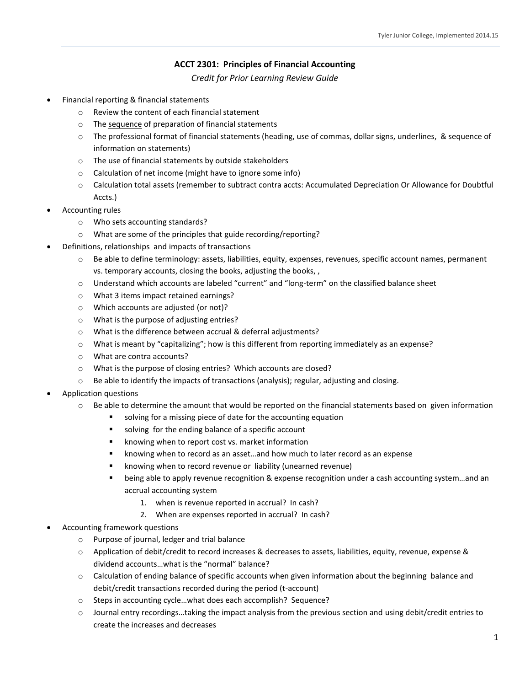## **ACCT 2301: Principles of Financial Accounting**

*Credit for Prior Learning Review Guide*

- Financial reporting & financial statements
	- o Review the content of each financial statement
	- o The sequence of preparation of financial statements
	- o The professional format of financial statements (heading, use of commas, dollar signs, underlines, & sequence of information on statements)
	- o The use of financial statements by outside stakeholders
	- o Calculation of net income (might have to ignore some info)
	- o Calculation total assets (remember to subtract contra accts: Accumulated Depreciation Or Allowance for Doubtful Accts.)
- Accounting rules
	- o Who sets accounting standards?
	- o What are some of the principles that guide recording/reporting?
- Definitions, relationships and impacts of transactions
	- o Be able to define terminology: assets, liabilities, equity, expenses, revenues, specific account names, permanent vs. temporary accounts, closing the books, adjusting the books, ,
	- o Understand which accounts are labeled "current" and "long-term" on the classified balance sheet
	- o What 3 items impact retained earnings?
	- o Which accounts are adjusted (or not)?
	- o What is the purpose of adjusting entries?
	- o What is the difference between accrual & deferral adjustments?
	- o What is meant by "capitalizing"; how is this different from reporting immediately as an expense?
	- o What are contra accounts?
	- o What is the purpose of closing entries? Which accounts are closed?
	- $\circ$  Be able to identify the impacts of transactions (analysis); regular, adjusting and closing.
- Application questions
	- $\circ$  Be able to determine the amount that would be reported on the financial statements based on given information
		- solving for a missing piece of date for the accounting equation
		- solving for the ending balance of a specific account
		- **EXECT** knowing when to report cost vs. market information
		- **EXED** knowing when to record as an asset...and how much to later record as an expense
		- **E** knowing when to record revenue or liability (unearned revenue)
		- being able to apply revenue recognition & expense recognition under a cash accounting system…and an accrual accounting system
			- 1. when is revenue reported in accrual? In cash?
			- 2. When are expenses reported in accrual? In cash?
- Accounting framework questions
	- o Purpose of journal, ledger and trial balance
	- o Application of debit/credit to record increases & decreases to assets, liabilities, equity, revenue, expense & dividend accounts…what is the "normal" balance?
	- o Calculation of ending balance of specific accounts when given information about the beginning balance and debit/credit transactions recorded during the period (t-account)
	- o Steps in accounting cycle…what does each accomplish? Sequence?
	- o Journal entry recordings…taking the impact analysis from the previous section and using debit/credit entries to create the increases and decreases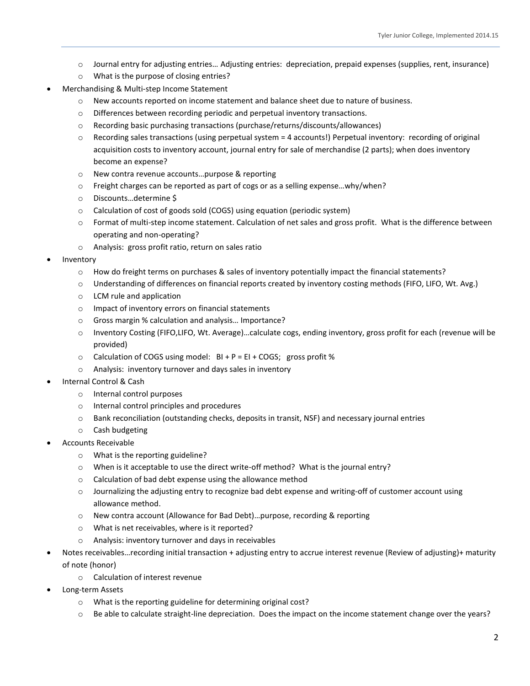- o Journal entry for adjusting entries… Adjusting entries: depreciation, prepaid expenses (supplies, rent, insurance)
- o What is the purpose of closing entries?
- Merchandising & Multi-step Income Statement
	- o New accounts reported on income statement and balance sheet due to nature of business.
	- o Differences between recording periodic and perpetual inventory transactions.
	- o Recording basic purchasing transactions (purchase/returns/discounts/allowances)
	- o Recording sales transactions (using perpetual system = 4 accounts!) Perpetual inventory: recording of original acquisition costs to inventory account, journal entry for sale of merchandise (2 parts); when does inventory become an expense?
	- o New contra revenue accounts…purpose & reporting
	- o Freight charges can be reported as part of cogs or as a selling expense…why/when?
	- o Discounts…determine \$
	- o Calculation of cost of goods sold (COGS) using equation (periodic system)
	- o Format of multi-step income statement. Calculation of net sales and gross profit. What is the difference between operating and non-operating?
	- o Analysis: gross profit ratio, return on sales ratio
- Inventory
	- o How do freight terms on purchases & sales of inventory potentially impact the financial statements?
	- o Understanding of differences on financial reports created by inventory costing methods (FIFO, LIFO, Wt. Avg.)
	- o LCM rule and application
	- o Impact of inventory errors on financial statements
	- o Gross margin % calculation and analysis… Importance?
	- o Inventory Costing (FIFO,LIFO, Wt. Average)…calculate cogs, ending inventory, gross profit for each (revenue will be provided)
	- $\circ$  Calculation of COGS using model: BI + P = EI + COGS; gross profit %
	- o Analysis: inventory turnover and days sales in inventory
- Internal Control & Cash
	- o Internal control purposes
	- o Internal control principles and procedures
	- o Bank reconciliation (outstanding checks, deposits in transit, NSF) and necessary journal entries
	- o Cash budgeting
- Accounts Receivable
	- o What is the reporting guideline?
	- $\circ$  When is it acceptable to use the direct write-off method? What is the journal entry?
	- o Calculation of bad debt expense using the allowance method
	- $\circ$  Journalizing the adjusting entry to recognize bad debt expense and writing-off of customer account using allowance method.
	- o New contra account (Allowance for Bad Debt)…purpose, recording & reporting
	- o What is net receivables, where is it reported?
	- o Analysis: inventory turnover and days in receivables
- Notes receivables…recording initial transaction + adjusting entry to accrue interest revenue (Review of adjusting)+ maturity of note (honor)
	- o Calculation of interest revenue
- Long-term Assets
	- o What is the reporting guideline for determining original cost?
	- o Be able to calculate straight-line depreciation. Does the impact on the income statement change over the years?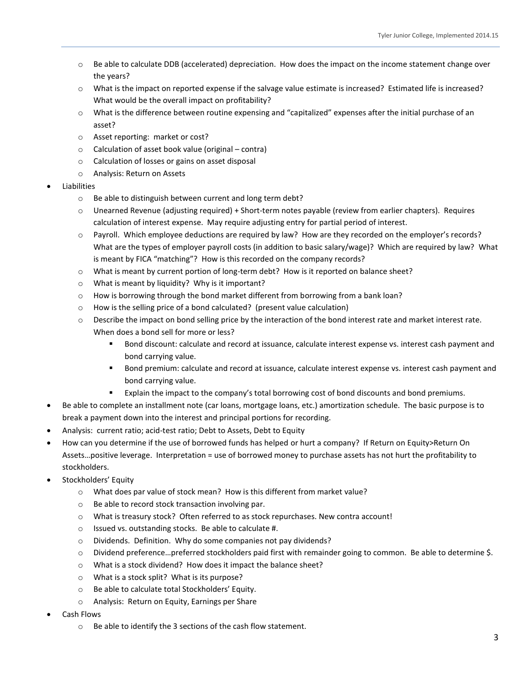- $\circ$  Be able to calculate DDB (accelerated) depreciation. How does the impact on the income statement change over the years?
- o What is the impact on reported expense if the salvage value estimate is increased? Estimated life is increased? What would be the overall impact on profitability?
- o What is the difference between routine expensing and "capitalized" expenses after the initial purchase of an asset?
- o Asset reporting: market or cost?
- o Calculation of asset book value (original contra)
- o Calculation of losses or gains on asset disposal
- o Analysis: Return on Assets
- Liabilities
	- o Be able to distinguish between current and long term debt?
	- o Unearned Revenue (adjusting required) + Short-term notes payable (review from earlier chapters). Requires calculation of interest expense. May require adjusting entry for partial period of interest.
	- o Payroll. Which employee deductions are required by law? How are they recorded on the employer's records? What are the types of employer payroll costs (in addition to basic salary/wage)? Which are required by law? What is meant by FICA "matching"? How is this recorded on the company records?
	- o What is meant by current portion of long-term debt? How is it reported on balance sheet?
	- o What is meant by liquidity? Why is it important?
	- o How is borrowing through the bond market different from borrowing from a bank loan?
	- o How is the selling price of a bond calculated? (present value calculation)
	- o Describe the impact on bond selling price by the interaction of the bond interest rate and market interest rate. When does a bond sell for more or less?
		- **Bond discount: calculate and record at issuance, calculate interest expense vs. interest cash payment and** bond carrying value.
		- **Bond premium: calculate and record at issuance, calculate interest expense vs. interest cash payment and** bond carrying value.
		- **Explain the impact to the company's total borrowing cost of bond discounts and bond premiums.**
- Be able to complete an installment note (car loans, mortgage loans, etc.) amortization schedule. The basic purpose is to break a payment down into the interest and principal portions for recording.
- Analysis: current ratio; acid-test ratio; Debt to Assets, Debt to Equity
- How can you determine if the use of borrowed funds has helped or hurt a company? If Return on Equity>Return On Assets…positive leverage. Interpretation = use of borrowed money to purchase assets has not hurt the profitability to stockholders.
- Stockholders' Equity
	- o What does par value of stock mean? How is this different from market value?
	- o Be able to record stock transaction involving par.
	- o What is treasury stock? Often referred to as stock repurchases. New contra account!
	- o Issued vs. outstanding stocks. Be able to calculate #.
	- o Dividends. Definition. Why do some companies not pay dividends?
	- o Dividend preference…preferred stockholders paid first with remainder going to common. Be able to determine \$.
	- o What is a stock dividend? How does it impact the balance sheet?
	- o What is a stock split? What is its purpose?
	- o Be able to calculate total Stockholders' Equity.
	- o Analysis: Return on Equity, Earnings per Share
- Cash Flows
	- o Be able to identify the 3 sections of the cash flow statement.